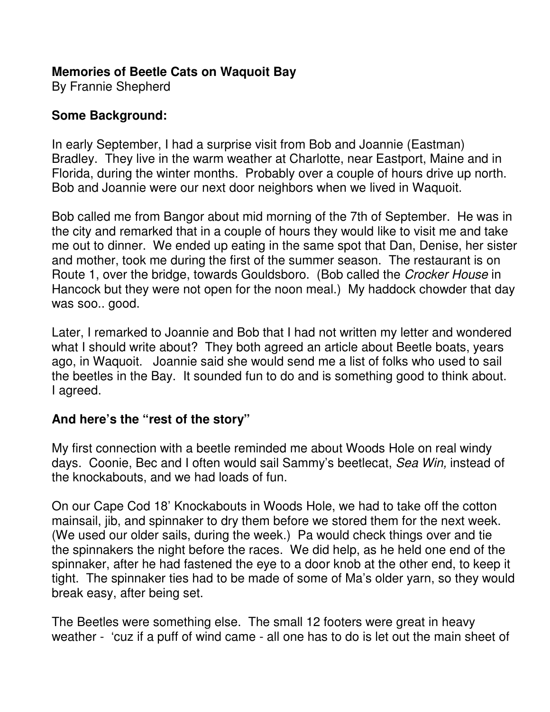## **Memories of Beetle Cats on Waquoit Bay**

By Frannie Shepherd

## **Some Background:**

In early September, I had a surprise visit from Bob and Joannie (Eastman) Bradley. They live in the warm weather at Charlotte, near Eastport, Maine and in Florida, during the winter months. Probably over a couple of hours drive up north. Bob and Joannie were our next door neighbors when we lived in Waquoit.

Bob called me from Bangor about mid morning of the 7th of September. He was in the city and remarked that in a couple of hours they would like to visit me and take me out to dinner. We ended up eating in the same spot that Dan, Denise, her sister and mother, took me during the first of the summer season. The restaurant is on Route 1, over the bridge, towards Gouldsboro. (Bob called the Crocker House in Hancock but they were not open for the noon meal.) My haddock chowder that day was soo.. good.

Later, I remarked to Joannie and Bob that I had not written my letter and wondered what I should write about? They both agreed an article about Beetle boats, years ago, in Waquoit. Joannie said she would send me a list of folks who used to sail the beetles in the Bay. It sounded fun to do and is something good to think about. I agreed.

## **And here's the "rest of the story"**

My first connection with a beetle reminded me about Woods Hole on real windy days. Coonie, Bec and I often would sail Sammy's beetlecat, Sea Win, instead of the knockabouts, and we had loads of fun.

On our Cape Cod 18' Knockabouts in Woods Hole, we had to take off the cotton mainsail, jib, and spinnaker to dry them before we stored them for the next week. (We used our older sails, during the week.) Pa would check things over and tie the spinnakers the night before the races. We did help, as he held one end of the spinnaker, after he had fastened the eye to a door knob at the other end, to keep it tight. The spinnaker ties had to be made of some of Ma's older yarn, so they would break easy, after being set.

The Beetles were something else. The small 12 footers were great in heavy weather - 'cuz if a puff of wind came - all one has to do is let out the main sheet of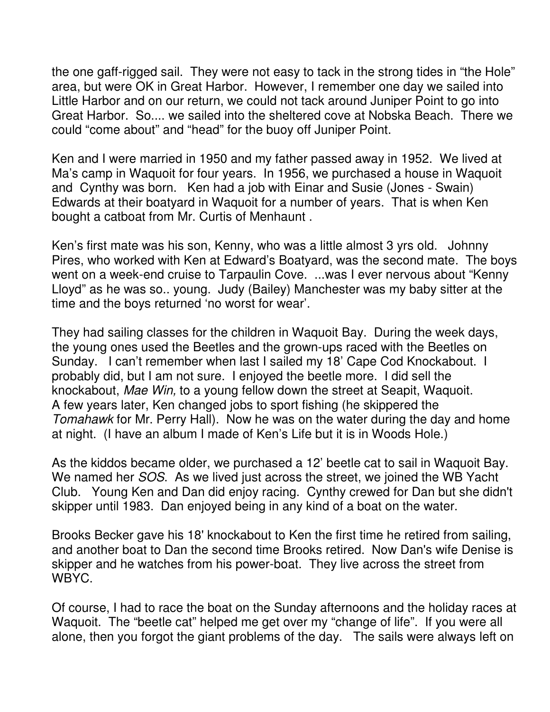the one gaff-rigged sail. They were not easy to tack in the strong tides in "the Hole" area, but were OK in Great Harbor. However, I remember one day we sailed into Little Harbor and on our return, we could not tack around Juniper Point to go into Great Harbor. So.... we sailed into the sheltered cove at Nobska Beach. There we could "come about" and "head" for the buoy off Juniper Point.

Ken and I were married in 1950 and my father passed away in 1952. We lived at Ma's camp in Waquoit for four years. In 1956, we purchased a house in Waquoit and Cynthy was born. Ken had a job with Einar and Susie (Jones - Swain) Edwards at their boatyard in Waquoit for a number of years. That is when Ken bought a catboat from Mr. Curtis of Menhaunt .

Ken's first mate was his son, Kenny, who was a little almost 3 yrs old. Johnny Pires, who worked with Ken at Edward's Boatyard, was the second mate. The boys went on a week-end cruise to Tarpaulin Cove. ...was I ever nervous about "Kenny Lloyd" as he was so.. young. Judy (Bailey) Manchester was my baby sitter at the time and the boys returned 'no worst for wear'.

They had sailing classes for the children in Waquoit Bay. During the week days, the young ones used the Beetles and the grown-ups raced with the Beetles on Sunday. I can't remember when last I sailed my 18' Cape Cod Knockabout. I probably did, but I am not sure. I enjoyed the beetle more. I did sell the knockabout, Mae Win, to a young fellow down the street at Seapit, Waquoit. A few years later, Ken changed jobs to sport fishing (he skippered the Tomahawk for Mr. Perry Hall). Now he was on the water during the day and home at night. (I have an album I made of Ken's Life but it is in Woods Hole.)

As the kiddos became older, we purchased a 12' beetle cat to sail in Waquoit Bay. We named her SOS. As we lived just across the street, we joined the WB Yacht Club. Young Ken and Dan did enjoy racing. Cynthy crewed for Dan but she didn't skipper until 1983. Dan enjoyed being in any kind of a boat on the water.

Brooks Becker gave his 18' knockabout to Ken the first time he retired from sailing, and another boat to Dan the second time Brooks retired. Now Dan's wife Denise is skipper and he watches from his power-boat. They live across the street from WBYC.

Of course, I had to race the boat on the Sunday afternoons and the holiday races at Waquoit. The "beetle cat" helped me get over my "change of life". If you were all alone, then you forgot the giant problems of the day. The sails were always left on